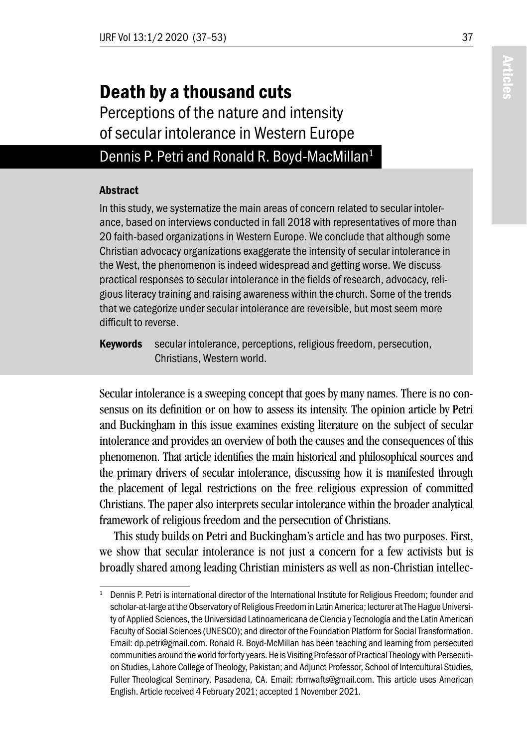# Death by a thousand cuts

Perceptions of the nature and intensity of secular intolerance in Western Europe

### Dennis P. Petri and Ronald R. Boyd-MacMillan<sup>1</sup>

#### Abstract

In this study, we systematize the main areas of concern related to secular intolerance, based on interviews conducted in fall 2018 with representatives of more than 20 faith-based organizations in Western Europe. We conclude that although some Christian advocacy organizations exaggerate the intensity of secular intolerance in the West, the phenomenon is indeed widespread and getting worse. We discuss practical responses to secular intolerance in the fields of research, advocacy, religious literacy training and raising awareness within the church. Some of the trends that we categorize under secular intolerance are reversible, but most seem more difficult to reverse.

Keywords secular intolerance, perceptions, religious freedom, persecution, Christians, Western world.

Secular intolerance is a sweeping concept that goes by many names. There is no consensus on its definition or on how to assess its intensity. The opinion article by Petri and Buckingham in this issue examines existing literature on the subject of secular intolerance and provides an overview of both the causes and the consequences of this phenomenon. That article identifies the main historical and philosophical sources and the primary drivers of secular intolerance, discussing how it is manifested through the placement of legal restrictions on the free religious expression of committed Christians. The paper also interprets secular intolerance within the broader analytical framework of religious freedom and the persecution of Christians.

This study builds on Petri and Buckingham's article and has two purposes. First, we show that secular intolerance is not just a concern for a few activists but is broadly shared among leading Christian ministers as well as non-Christian intellec-

<sup>1</sup> Dennis P. Petri is international director of the International Institute for Religious Freedom; founder and scholar-at-large at the Observatory of Religious Freedom in Latin America; lecturer at The Hague University of Applied Sciences, the Universidad Latinoamericana de Ciencia y Tecnología and the Latin American Faculty of Social Sciences (UNESCO); and director of the Foundation Platform for Social Transformation. Email: dp.petri@gmail.com. Ronald R. Boyd-McMillan has been teaching and learning from persecuted communities around the world for forty years. He is Visiting Professor of Practical Theology with Persecution Studies, Lahore College of Theology, Pakistan; and Adjunct Professor, School of Intercultural Studies, Fuller Theological Seminary, Pasadena, CA. Email: rbmwafts@gmail.com. This article uses American English. Article received 4 February 2021; accepted 1 November 2021.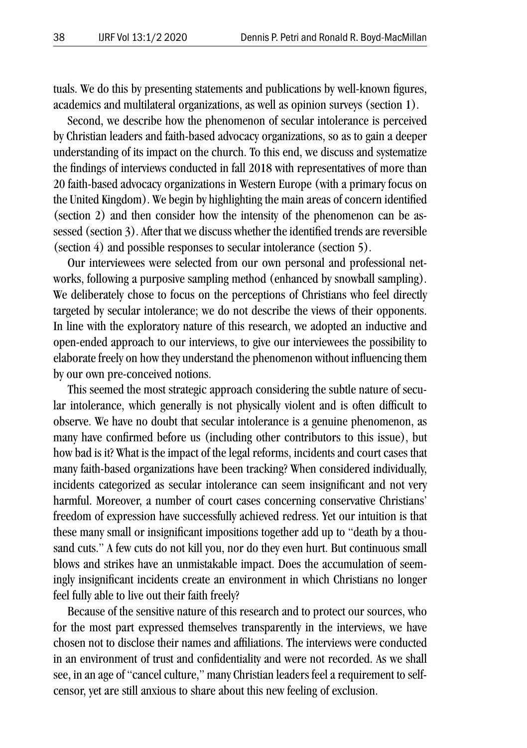tuals. We do this by presenting statements and publications by well-known figures, academics and multilateral organizations, as well as opinion surveys (section 1).

Second, we describe how the phenomenon of secular intolerance is perceived by Christian leaders and faith-based advocacy organizations, so as to gain a deeper understanding of its impact on the church. To this end, we discuss and systematize the findings of interviews conducted in fall 2018 with representatives of more than 20 faith-based advocacy organizations in Western Europe (with a primary focus on the United Kingdom). We begin by highlighting the main areas of concern identified (section 2) and then consider how the intensity of the phenomenon can be assessed (section 3). After that we discuss whether the identified trends are reversible (section 4) and possible responses to secular intolerance (section 5).

Our interviewees were selected from our own personal and professional networks, following a purposive sampling method (enhanced by snowball sampling). We deliberately chose to focus on the perceptions of Christians who feel directly targeted by secular intolerance; we do not describe the views of their opponents. In line with the exploratory nature of this research, we adopted an inductive and open-ended approach to our interviews, to give our interviewees the possibility to elaborate freely on how they understand the phenomenon without influencing them by our own pre-conceived notions.

This seemed the most strategic approach considering the subtle nature of secular intolerance, which generally is not physically violent and is often difficult to observe. We have no doubt that secular intolerance is a genuine phenomenon, as many have confirmed before us (including other contributors to this issue), but how bad is it? What is the impact of the legal reforms, incidents and court cases that many faith-based organizations have been tracking? When considered individually, incidents categorized as secular intolerance can seem insignificant and not very harmful. Moreover, a number of court cases concerning conservative Christians' freedom of expression have successfully achieved redress. Yet our intuition is that these many small or insignificant impositions together add up to "death by a thousand cuts." A few cuts do not kill you, nor do they even hurt. But continuous small blows and strikes have an unmistakable impact. Does the accumulation of seemingly insignificant incidents create an environment in which Christians no longer feel fully able to live out their faith freely?

Because of the sensitive nature of this research and to protect our sources, who for the most part expressed themselves transparently in the interviews, we have chosen not to disclose their names and affiliations. The interviews were conducted in an environment of trust and confidentiality and were not recorded. As we shall see, in an age of "cancel culture," many Christian leaders feel a requirement to selfcensor, yet are still anxious to share about this new feeling of exclusion.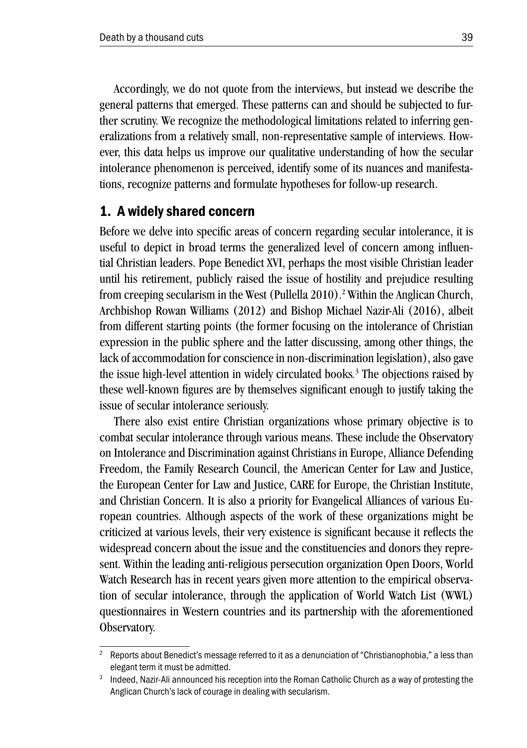Accordingly, we do not quote from the interviews, but instead we describe the general patterns that emerged. These patterns can and should be subjected to further scrutiny. We recognize the methodological limitations related to inferring generalizations from a relatively small, non-representative sample of interviews. However, this data helps us improve our qualitative understanding of how the secular intolerance phenomenon is perceived, identify some of its nuances and manifestations, recognize patterns and formulate hypotheses for follow-up research.

#### 1. A widely shared concern

Before we delve into specific areas of concern regarding secular intolerance, it is useful to depict in broad terms the generalized level of concern among influential Christian leaders. Pope Benedict XVI, perhaps the most visible Christian leader until his retirement, publicly raised the issue of hostility and prejudice resulting from creeping secularism in the West (Pullella 2010).<sup>2</sup> Within the Anglican Church, Archbishop Rowan Williams (2012) and Bishop Michael Nazir-Ali (2016), albeit from different starting points (the former focusing on the intolerance of Christian expression in the public sphere and the latter discussing, among other things, the lack of accommodation for conscience in non-discrimination legislation), also gave the issue high-level attention in widely circulated books*.* 3 The objections raised by these well-known figures are by themselves significant enough to justify taking the issue of secular intolerance seriously.

There also exist entire Christian organizations whose primary objective is to combat secular intolerance through various means. These include the Observatory on Intolerance and Discrimination against Christians in Europe, Alliance Defending Freedom, the Family Research Council, the American Center for Law and Justice, the European Center for Law and Justice, CARE for Europe, the Christian Institute, and Christian Concern. It is also a priority for Evangelical Alliances of various European countries. Although aspects of the work of these organizations might be criticized at various levels, their very existence is significant because it reflects the widespread concern about the issue and the constituencies and donors they represent. Within the leading anti-religious persecution organization Open Doors, World Watch Research has in recent years given more attention to the empirical observation of secular intolerance, through the application of World Watch List (WWL) questionnaires in Western countries and its partnership with the aforementioned Observatory.

<sup>2</sup> Reports about Benedict's message referred to it as a denunciation of "Christianophobia," a less than elegant term it must be admitted.

<sup>&</sup>lt;sup>3</sup> Indeed, Nazir-Ali announced his reception into the Roman Catholic Church as a way of protesting the Anglican Church's lack of courage in dealing with secularism.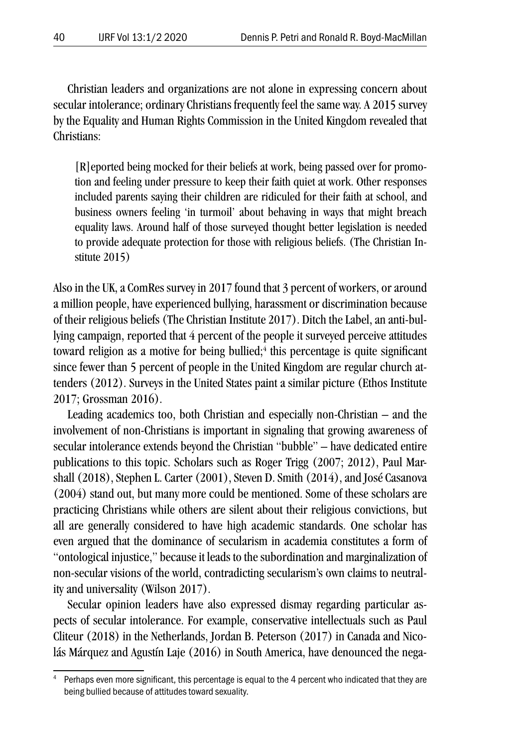Christian leaders and organizations are not alone in expressing concern about secular intolerance; ordinary Christians frequently feel the same way. A 2015 survey by the Equality and Human Rights Commission in the United Kingdom revealed that Christians:

[R]eported being mocked for their beliefs at work, being passed over for promotion and feeling under pressure to keep their faith quiet at work. Other responses included parents saying their children are ridiculed for their faith at school, and business owners feeling 'in turmoil' about behaving in ways that might breach equality laws. Around half of those surveyed thought better legislation is needed to provide adequate protection for those with religious beliefs. (The Christian Institute 2015)

Also in the UK, a ComRes survey in 2017 found that 3 percent of workers, or around a million people, have experienced bullying, harassment or discrimination because of their religious beliefs (The Christian Institute 2017). Ditch the Label, an anti-bullying campaign, reported that 4 percent of the people it surveyed perceive attitudes toward religion as a motive for being bullied; $4$  this percentage is quite significant since fewer than 5 percent of people in the United Kingdom are regular church attenders (2012). Surveys in the United States paint a similar picture (Ethos Institute 2017; Grossman 2016).

Leading academics too, both Christian and especially non-Christian – and the involvement of non-Christians is important in signaling that growing awareness of secular intolerance extends beyond the Christian "bubble" – have dedicated entire publications to this topic. Scholars such as Roger Trigg (2007; 2012), Paul Marshall (2018), Stephen L. Carter (2001), Steven D. Smith (2014), and José Casanova (2004) stand out, but many more could be mentioned. Some of these scholars are practicing Christians while others are silent about their religious convictions, but all are generally considered to have high academic standards. One scholar has even argued that the dominance of secularism in academia constitutes a form of "ontological injustice," because it leads to the subordination and marginalization of non-secular visions of the world, contradicting secularism's own claims to neutrality and universality (Wilson 2017).

Secular opinion leaders have also expressed dismay regarding particular aspects of secular intolerance. For example, conservative intellectuals such as Paul Cliteur (2018) in the Netherlands, Jordan B. Peterson (2017) in Canada and Nicolás Márquez and Agustín Laje (2016) in South America, have denounced the nega-

Perhaps even more significant, this percentage is equal to the 4 percent who indicated that they are being bullied because of attitudes toward sexuality.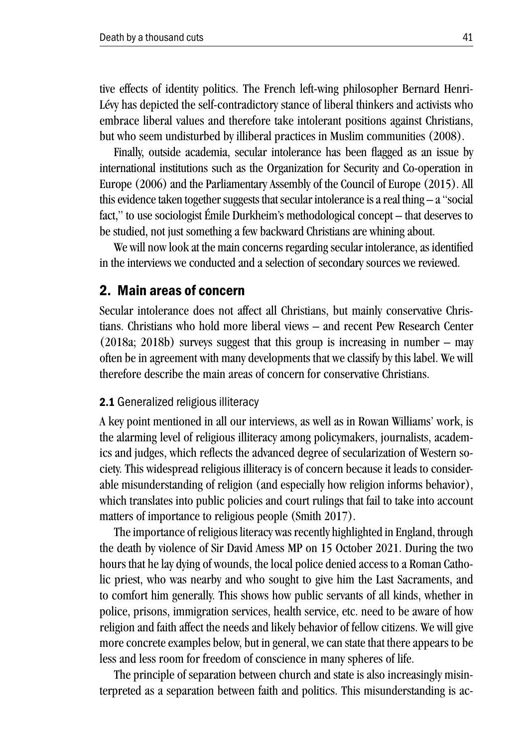tive effects of identity politics. The French left-wing philosopher Bernard Henri-Lévy has depicted the self-contradictory stance of liberal thinkers and activists who embrace liberal values and therefore take intolerant positions against Christians, but who seem undisturbed by illiberal practices in Muslim communities (2008).

Finally, outside academia, secular intolerance has been flagged as an issue by international institutions such as the Organization for Security and Co-operation in Europe (2006) and the Parliamentary Assembly of the Council of Europe (2015). All this evidence taken together suggests that secular intolerance is a real thing – a "social fact," to use sociologist Émile Durkheim's methodological concept – that deserves to be studied, not just something a few backward Christians are whining about.

We will now look at the main concerns regarding secular intolerance, as identified in the interviews we conducted and a selection of secondary sources we reviewed.

#### 2. Main areas of concern

Secular intolerance does not affect all Christians, but mainly conservative Christians. Christians who hold more liberal views – and recent Pew Research Center (2018a; 2018b) surveys suggest that this group is increasing in number – may often be in agreement with many developments that we classify by this label. We will therefore describe the main areas of concern for conservative Christians.

#### 2.1 Generalized religious illiteracy

A key point mentioned in all our interviews, as well as in Rowan Williams' work, is the alarming level of religious illiteracy among policymakers, journalists, academics and judges, which reflects the advanced degree of secularization of Western society. This widespread religious illiteracy is of concern because it leads to considerable misunderstanding of religion (and especially how religion informs behavior), which translates into public policies and court rulings that fail to take into account matters of importance to religious people (Smith 2017).

The importance of religious literacy was recently highlighted in England, through the death by violence of Sir David Amess MP on 15 October 2021. During the two hours that he lay dying of wounds, the local police denied access to a Roman Catholic priest, who was nearby and who sought to give him the Last Sacraments, and to comfort him generally. This shows how public servants of all kinds, whether in police, prisons, immigration services, health service, etc. need to be aware of how religion and faith affect the needs and likely behavior of fellow citizens. We will give more concrete examples below, but in general, we can state that there appears to be less and less room for freedom of conscience in many spheres of life.

The principle of separation between church and state is also increasingly misinterpreted as a separation between faith and politics. This misunderstanding is ac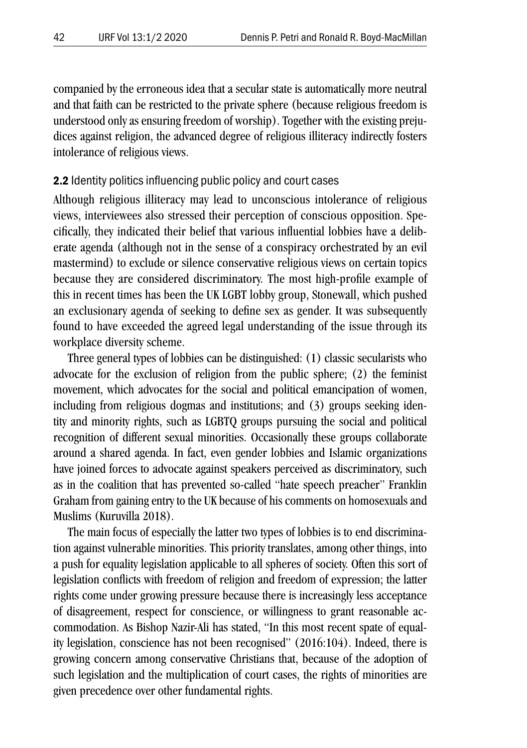companied by the erroneous idea that a secular state is automatically more neutral and that faith can be restricted to the private sphere (because religious freedom is understood only as ensuring freedom of worship). Together with the existing prejudices against religion, the advanced degree of religious illiteracy indirectly fosters intolerance of religious views.

#### 2.2 Identity politics influencing public policy and court cases

Although religious illiteracy may lead to unconscious intolerance of religious views, interviewees also stressed their perception of conscious opposition. Specifically, they indicated their belief that various influential lobbies have a deliberate agenda (although not in the sense of a conspiracy orchestrated by an evil mastermind) to exclude or silence conservative religious views on certain topics because they are considered discriminatory. The most high-profile example of this in recent times has been the UK LGBT lobby group, Stonewall, which pushed an exclusionary agenda of seeking to define sex as gender. It was subsequently found to have exceeded the agreed legal understanding of the issue through its workplace diversity scheme.

Three general types of lobbies can be distinguished: (1) classic secularists who advocate for the exclusion of religion from the public sphere; (2) the feminist movement, which advocates for the social and political emancipation of women, including from religious dogmas and institutions; and (3) groups seeking identity and minority rights, such as LGBTQ groups pursuing the social and political recognition of different sexual minorities. Occasionally these groups collaborate around a shared agenda. In fact, even gender lobbies and Islamic organizations have joined forces to advocate against speakers perceived as discriminatory, such as in the coalition that has prevented so-called "hate speech preacher" Franklin Graham from gaining entry to the UK because of his comments on homosexuals and Muslims (Kuruvilla 2018).

The main focus of especially the latter two types of lobbies is to end discrimination against vulnerable minorities. This priority translates, among other things, into a push for equality legislation applicable to all spheres of society. Often this sort of legislation conflicts with freedom of religion and freedom of expression; the latter rights come under growing pressure because there is increasingly less acceptance of disagreement, respect for conscience, or willingness to grant reasonable accommodation. As Bishop Nazir-Ali has stated, "In this most recent spate of equality legislation, conscience has not been recognised" (2016:104). Indeed, there is growing concern among conservative Christians that, because of the adoption of such legislation and the multiplication of court cases, the rights of minorities are given precedence over other fundamental rights.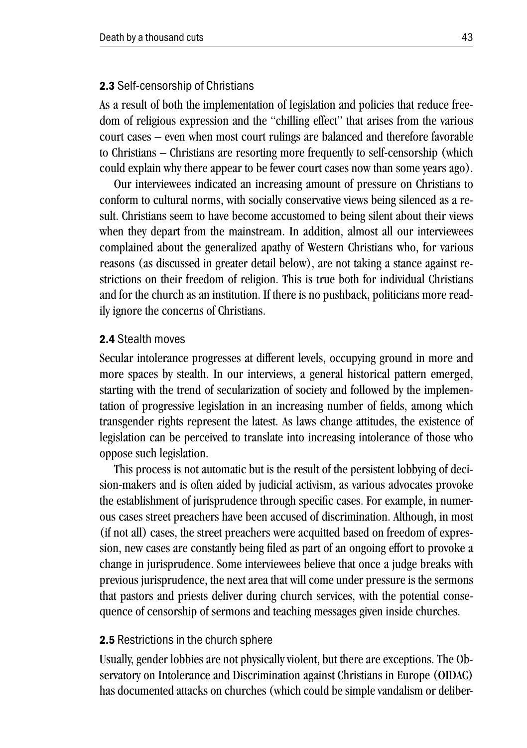#### 2.3 Self-censorship of Christians

As a result of both the implementation of legislation and policies that reduce freedom of religious expression and the "chilling effect" that arises from the various court cases – even when most court rulings are balanced and therefore favorable to Christians – Christians are resorting more frequently to self-censorship (which could explain why there appear to be fewer court cases now than some years ago).

Our interviewees indicated an increasing amount of pressure on Christians to conform to cultural norms, with socially conservative views being silenced as a result. Christians seem to have become accustomed to being silent about their views when they depart from the mainstream. In addition, almost all our interviewees complained about the generalized apathy of Western Christians who, for various reasons (as discussed in greater detail below), are not taking a stance against restrictions on their freedom of religion. This is true both for individual Christians and for the church as an institution. If there is no pushback, politicians more readily ignore the concerns of Christians.

#### 2.4 Stealth moves

Secular intolerance progresses at different levels, occupying ground in more and more spaces by stealth. In our interviews, a general historical pattern emerged, starting with the trend of secularization of society and followed by the implementation of progressive legislation in an increasing number of fields, among which transgender rights represent the latest. As laws change attitudes, the existence of legislation can be perceived to translate into increasing intolerance of those who oppose such legislation.

This process is not automatic but is the result of the persistent lobbying of decision-makers and is often aided by judicial activism, as various advocates provoke the establishment of jurisprudence through specific cases. For example, in numerous cases street preachers have been accused of discrimination. Although, in most (if not all) cases, the street preachers were acquitted based on freedom of expression, new cases are constantly being filed as part of an ongoing effort to provoke a change in jurisprudence. Some interviewees believe that once a judge breaks with previous jurisprudence, the next area that will come under pressure is the sermons that pastors and priests deliver during church services, with the potential consequence of censorship of sermons and teaching messages given inside churches.

#### 2.5 Restrictions in the church sphere

Usually, gender lobbies are not physically violent, but there are exceptions. The Observatory on Intolerance and Discrimination against Christians in Europe (OIDAC) has documented attacks on churches (which could be simple vandalism or deliber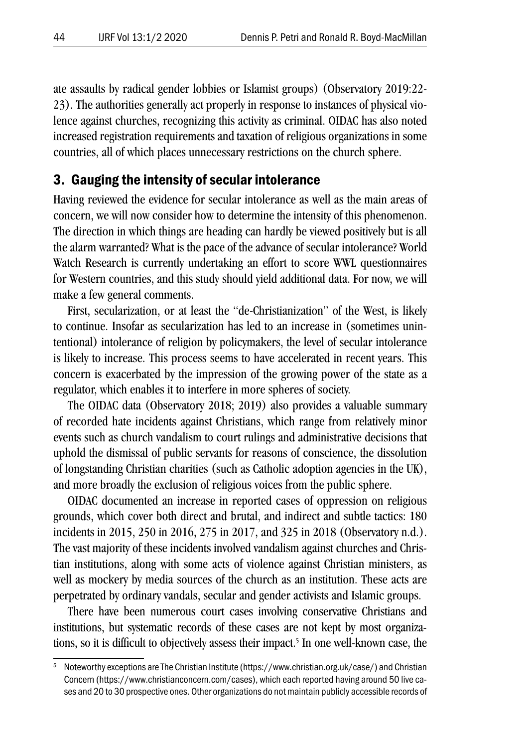ate assaults by radical gender lobbies or Islamist groups) (Observatory 2019:22- 23). The authorities generally act properly in response to instances of physical violence against churches, recognizing this activity as criminal. OIDAC has also noted increased registration requirements and taxation of religious organizations in some countries, all of which places unnecessary restrictions on the church sphere.

#### 3. Gauging the intensity of secular intolerance

Having reviewed the evidence for secular intolerance as well as the main areas of concern, we will now consider how to determine the intensity of this phenomenon. The direction in which things are heading can hardly be viewed positively but is all the alarm warranted? What is the pace of the advance of secular intolerance? World Watch Research is currently undertaking an effort to score WWL questionnaires for Western countries, and this study should yield additional data. For now, we will make a few general comments.

First, secularization, or at least the "de-Christianization" of the West, is likely to continue. Insofar as secularization has led to an increase in (sometimes unintentional) intolerance of religion by policymakers, the level of secular intolerance is likely to increase. This process seems to have accelerated in recent years. This concern is exacerbated by the impression of the growing power of the state as a regulator, which enables it to interfere in more spheres of society.

The OIDAC data (Observatory 2018; 2019) also provides a valuable summary of recorded hate incidents against Christians, which range from relatively minor events such as church vandalism to court rulings and administrative decisions that uphold the dismissal of public servants for reasons of conscience, the dissolution of longstanding Christian charities (such as Catholic adoption agencies in the UK), and more broadly the exclusion of religious voices from the public sphere.

OIDAC documented an increase in reported cases of oppression on religious grounds, which cover both direct and brutal, and indirect and subtle tactics: 180 incidents in 2015, 250 in 2016, 275 in 2017, and 325 in 2018 (Observatory n.d.). The vast majority of these incidents involved vandalism against churches and Christian institutions, along with some acts of violence against Christian ministers, as well as mockery by media sources of the church as an institution. These acts are perpetrated by ordinary vandals, secular and gender activists and Islamic groups.

There have been numerous court cases involving conservative Christians and institutions, but systematic records of these cases are not kept by most organizations, so it is difficult to objectively assess their impact.<sup>5</sup> In one well-known case, the

<sup>5</sup> Noteworthy exceptions are The Christian Institute (https://www.christian.org.uk/case/) and Christian Concern (https://www.christianconcern.com/cases), which each reported having around 50 live cases and 20 to 30 prospective ones. Other organizations do not maintain publicly accessible records of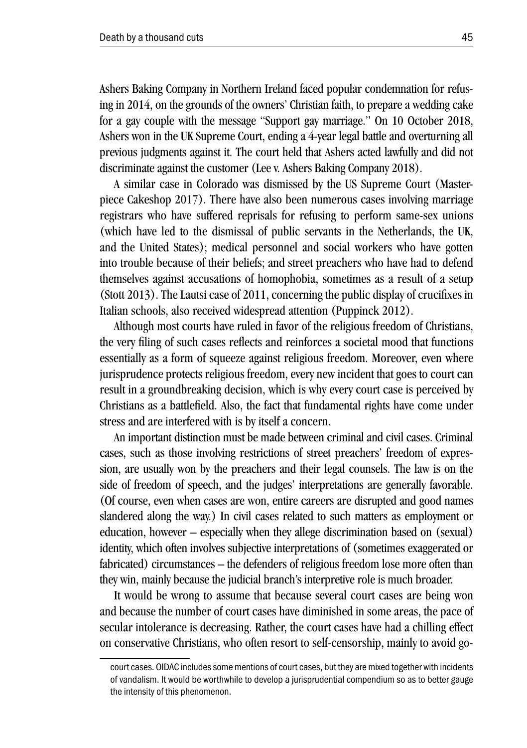Ashers Baking Company in Northern Ireland faced popular condemnation for refusing in 2014, on the grounds of the owners' Christian faith, to prepare a wedding cake for a gay couple with the message "Support gay marriage." On 10 October 2018, Ashers won in the UK Supreme Court, ending a 4-year legal battle and overturning all previous judgments against it. The court held that Ashers acted lawfully and did not discriminate against the customer (Lee v. Ashers Baking Company 2018).

A similar case in Colorado was dismissed by the US Supreme Court (Masterpiece Cakeshop 2017). There have also been numerous cases involving marriage registrars who have suffered reprisals for refusing to perform same-sex unions (which have led to the dismissal of public servants in the Netherlands, the UK, and the United States); medical personnel and social workers who have gotten into trouble because of their beliefs; and street preachers who have had to defend themselves against accusations of homophobia, sometimes as a result of a setup (Stott 2013). The Lautsi case of 2011, concerning the public display of crucifixes in Italian schools, also received widespread attention (Puppinck 2012).

Although most courts have ruled in favor of the religious freedom of Christians, the very filing of such cases reflects and reinforces a societal mood that functions essentially as a form of squeeze against religious freedom. Moreover, even where jurisprudence protects religious freedom, every new incident that goes to court can result in a groundbreaking decision, which is why every court case is perceived by Christians as a battlefield. Also, the fact that fundamental rights have come under stress and are interfered with is by itself a concern.

An important distinction must be made between criminal and civil cases. Criminal cases, such as those involving restrictions of street preachers' freedom of expression, are usually won by the preachers and their legal counsels. The law is on the side of freedom of speech, and the judges' interpretations are generally favorable. (Of course, even when cases are won, entire careers are disrupted and good names slandered along the way.) In civil cases related to such matters as employment or education, however – especially when they allege discrimination based on (sexual) identity, which often involves subjective interpretations of (sometimes exaggerated or fabricated) circumstances – the defenders of religious freedom lose more often than they win, mainly because the judicial branch's interpretive role is much broader.

It would be wrong to assume that because several court cases are being won and because the number of court cases have diminished in some areas, the pace of secular intolerance is decreasing. Rather, the court cases have had a chilling effect on conservative Christians, who often resort to self-censorship, mainly to avoid go-

court cases. OIDAC includes some mentions of court cases, but they are mixed together with incidents of vandalism. It would be worthwhile to develop a jurisprudential compendium so as to better gauge the intensity of this phenomenon.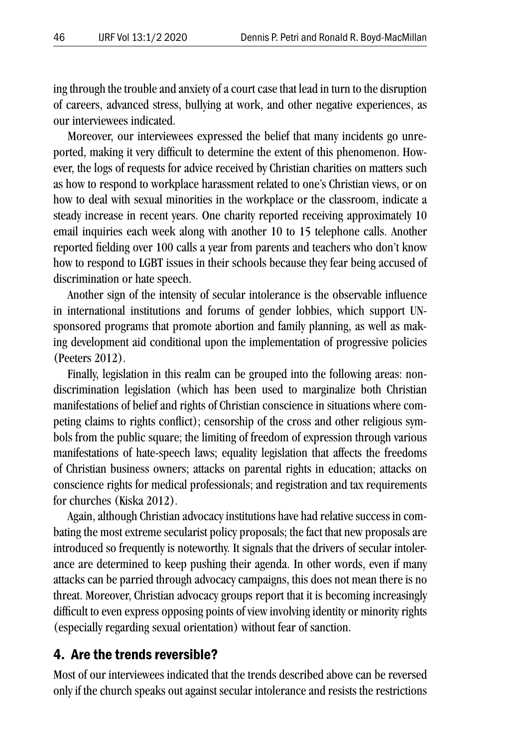ing through the trouble and anxiety of a court case that lead in turn to the disruption of careers, advanced stress, bullying at work, and other negative experiences, as our interviewees indicated.

Moreover, our interviewees expressed the belief that many incidents go unreported, making it very difficult to determine the extent of this phenomenon. However, the logs of requests for advice received by Christian charities on matters such as how to respond to workplace harassment related to one's Christian views, or on how to deal with sexual minorities in the workplace or the classroom, indicate a steady increase in recent years. One charity reported receiving approximately 10 email inquiries each week along with another 10 to 15 telephone calls. Another reported fielding over 100 calls a year from parents and teachers who don't know how to respond to LGBT issues in their schools because they fear being accused of discrimination or hate speech.

Another sign of the intensity of secular intolerance is the observable influence in international institutions and forums of gender lobbies, which support UNsponsored programs that promote abortion and family planning, as well as making development aid conditional upon the implementation of progressive policies (Peeters 2012).

Finally, legislation in this realm can be grouped into the following areas: nondiscrimination legislation (which has been used to marginalize both Christian manifestations of belief and rights of Christian conscience in situations where competing claims to rights conflict); censorship of the cross and other religious symbols from the public square; the limiting of freedom of expression through various manifestations of hate-speech laws; equality legislation that affects the freedoms of Christian business owners; attacks on parental rights in education; attacks on conscience rights for medical professionals; and registration and tax requirements for churches (Kiska 2012).

Again, although Christian advocacy institutions have had relative success in combating the most extreme secularist policy proposals; the fact that new proposals are introduced so frequently is noteworthy. It signals that the drivers of secular intolerance are determined to keep pushing their agenda. In other words, even if many attacks can be parried through advocacy campaigns, this does not mean there is no threat. Moreover, Christian advocacy groups report that it is becoming increasingly difficult to even express opposing points of view involving identity or minority rights (especially regarding sexual orientation) without fear of sanction.

#### 4. Are the trends reversible?

Most of our interviewees indicated that the trends described above can be reversed only if the church speaks out against secular intolerance and resists the restrictions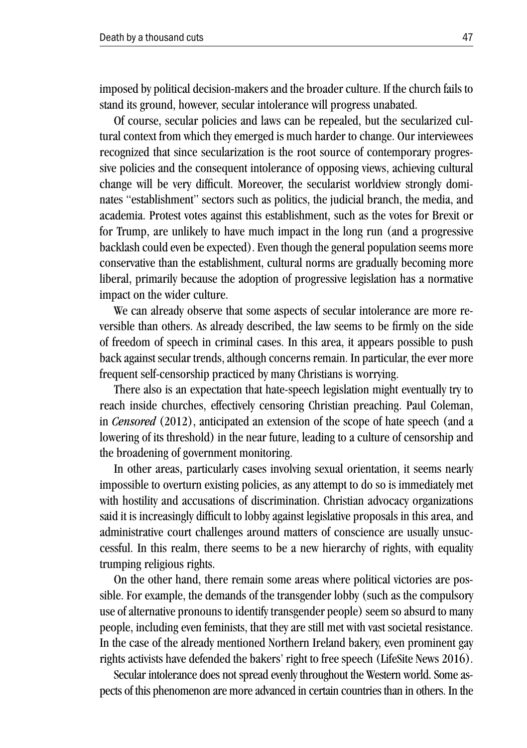imposed by political decision-makers and the broader culture. If the church fails to stand its ground, however, secular intolerance will progress unabated.

Of course, secular policies and laws can be repealed, but the secularized cultural context from which they emerged is much harder to change. Our interviewees recognized that since secularization is the root source of contemporary progressive policies and the consequent intolerance of opposing views, achieving cultural change will be very difficult. Moreover, the secularist worldview strongly dominates "establishment" sectors such as politics, the judicial branch, the media, and academia. Protest votes against this establishment, such as the votes for Brexit or for Trump, are unlikely to have much impact in the long run (and a progressive backlash could even be expected). Even though the general population seems more conservative than the establishment, cultural norms are gradually becoming more liberal, primarily because the adoption of progressive legislation has a normative impact on the wider culture.

We can already observe that some aspects of secular intolerance are more reversible than others. As already described, the law seems to be firmly on the side of freedom of speech in criminal cases. In this area, it appears possible to push back against secular trends, although concerns remain. In particular, the ever more frequent self-censorship practiced by many Christians is worrying.

There also is an expectation that hate-speech legislation might eventually try to reach inside churches, effectively censoring Christian preaching. Paul Coleman, in *Censored* (2012), anticipated an extension of the scope of hate speech (and a lowering of its threshold) in the near future, leading to a culture of censorship and the broadening of government monitoring.

In other areas, particularly cases involving sexual orientation, it seems nearly impossible to overturn existing policies, as any attempt to do so is immediately met with hostility and accusations of discrimination. Christian advocacy organizations said it is increasingly difficult to lobby against legislative proposals in this area, and administrative court challenges around matters of conscience are usually unsuccessful. In this realm, there seems to be a new hierarchy of rights, with equality trumping religious rights.

On the other hand, there remain some areas where political victories are possible. For example, the demands of the transgender lobby (such as the compulsory use of alternative pronouns to identify transgender people) seem so absurd to many people, including even feminists, that they are still met with vast societal resistance. In the case of the already mentioned Northern Ireland bakery, even prominent gay rights activists have defended the bakers' right to free speech (LifeSite News 2016).

Secular intolerance does not spread evenly throughout the Western world. Some aspects of this phenomenon are more advanced in certain countries than in others. In the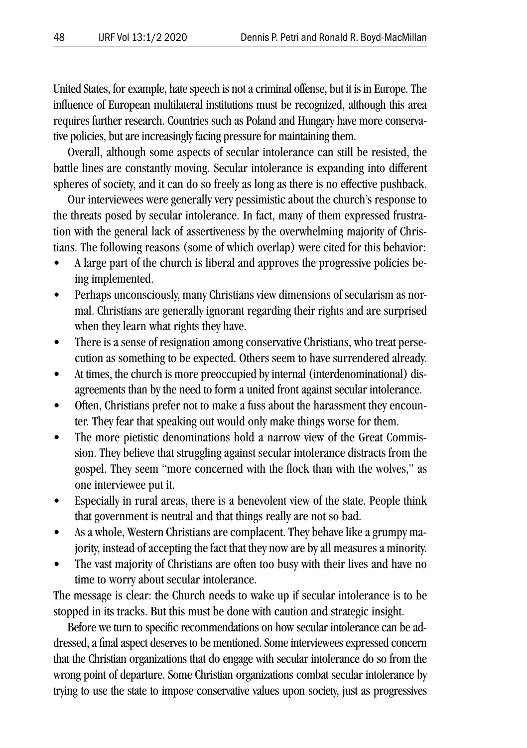United States, for example, hate speech is not a criminal offense, but it is in Europe. The influence of European multilateral institutions must be recognized, although this area requires further research. Countries such as Poland and Hungary have more conservative policies, but are increasingly facing pressure for maintaining them.

Overall, although some aspects of secular intolerance can still be resisted, the battle lines are constantly moving. Secular intolerance is expanding into different spheres of society, and it can do so freely as long as there is no effective pushback.

Our interviewees were generally very pessimistic about the church's response to the threats posed by secular intolerance. In fact, many of them expressed frustration with the general lack of assertiveness by the overwhelming majority of Christians. The following reasons (some of which overlap) were cited for this behavior:

- A large part of the church is liberal and approves the progressive policies being implemented.
- Perhaps unconsciously, many Christians view dimensions of secularism as normal. Christians are generally ignorant regarding their rights and are surprised when they learn what rights they have.
- There is a sense of resignation among conservative Christians, who treat persecution as something to be expected. Others seem to have surrendered already.
- At times, the church is more preoccupied by internal (interdenominational) disagreements than by the need to form a united front against secular intolerance.
- Often, Christians prefer not to make a fuss about the harassment they encounter. They fear that speaking out would only make things worse for them.
- The more pietistic denominations hold a narrow view of the Great Commission. They believe that struggling against secular intolerance distracts from the gospel. They seem "more concerned with the flock than with the wolves," as one interviewee put it.
- Especially in rural areas, there is a benevolent view of the state. People think that government is neutral and that things really are not so bad.
- As a whole, Western Christians are complacent. They behave like a grumpy majority, instead of accepting the fact that they now are by all measures a minority.
- The vast majority of Christians are often too busy with their lives and have no time to worry about secular intolerance.

The message is clear: the Church needs to wake up if secular intolerance is to be stopped in its tracks. But this must be done with caution and strategic insight.

Before we turn to specific recommendations on how secular intolerance can be addressed, a final aspect deserves to be mentioned. Some interviewees expressed concern that the Christian organizations that do engage with secular intolerance do so from the wrong point of departure. Some Christian organizations combat secular intolerance by trying to use the state to impose conservative values upon society, just as progressives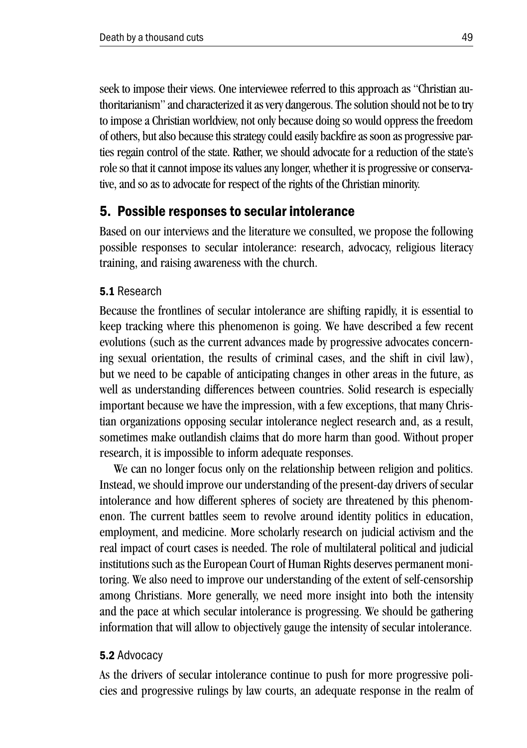seek to impose their views. One interviewee referred to this approach as "Christian authoritarianism" and characterized it as very dangerous. The solution should not be to try to impose a Christian worldview, not only because doing so would oppress the freedom of others, but also because this strategy could easily backfire as soon as progressive parties regain control of the state. Rather, we should advocate for a reduction of the state's role so that it cannot impose its values any longer, whether it is progressive or conservative, and so as to advocate for respect of the rights of the Christian minority.

#### 5. Possible responses to secular intolerance

Based on our interviews and the literature we consulted, we propose the following possible responses to secular intolerance: research, advocacy, religious literacy training, and raising awareness with the church.

#### 5.1 Research

Because the frontlines of secular intolerance are shifting rapidly, it is essential to keep tracking where this phenomenon is going. We have described a few recent evolutions (such as the current advances made by progressive advocates concerning sexual orientation, the results of criminal cases, and the shift in civil law), but we need to be capable of anticipating changes in other areas in the future, as well as understanding differences between countries. Solid research is especially important because we have the impression, with a few exceptions, that many Christian organizations opposing secular intolerance neglect research and, as a result, sometimes make outlandish claims that do more harm than good. Without proper research, it is impossible to inform adequate responses.

We can no longer focus only on the relationship between religion and politics. Instead, we should improve our understanding of the present-day drivers of secular intolerance and how different spheres of society are threatened by this phenomenon. The current battles seem to revolve around identity politics in education, employment, and medicine. More scholarly research on judicial activism and the real impact of court cases is needed. The role of multilateral political and judicial institutions such as the European Court of Human Rights deserves permanent monitoring. We also need to improve our understanding of the extent of self-censorship among Christians. More generally, we need more insight into both the intensity and the pace at which secular intolerance is progressing. We should be gathering information that will allow to objectively gauge the intensity of secular intolerance.

#### 5.2 Advocacy

As the drivers of secular intolerance continue to push for more progressive policies and progressive rulings by law courts, an adequate response in the realm of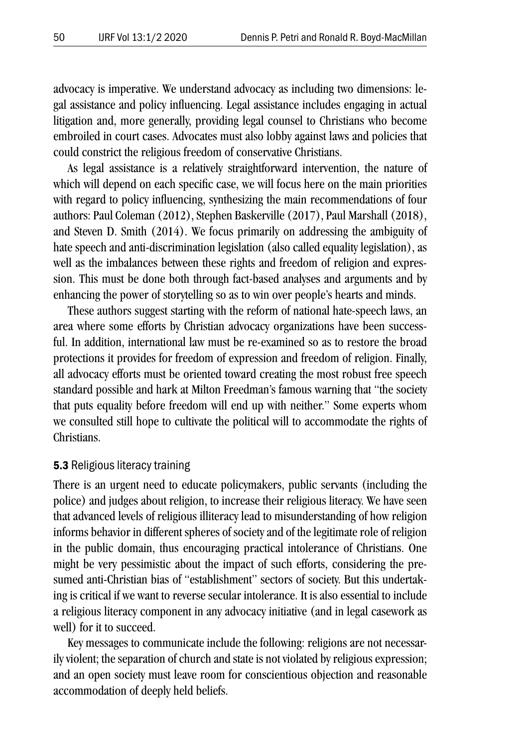advocacy is imperative. We understand advocacy as including two dimensions: legal assistance and policy influencing. Legal assistance includes engaging in actual litigation and, more generally, providing legal counsel to Christians who become embroiled in court cases. Advocates must also lobby against laws and policies that could constrict the religious freedom of conservative Christians.

As legal assistance is a relatively straightforward intervention, the nature of which will depend on each specific case, we will focus here on the main priorities with regard to policy influencing, synthesizing the main recommendations of four authors: Paul Coleman (2012), Stephen Baskerville (2017), Paul Marshall (2018), and Steven D. Smith (2014). We focus primarily on addressing the ambiguity of hate speech and anti-discrimination legislation (also called equality legislation), as well as the imbalances between these rights and freedom of religion and expression. This must be done both through fact-based analyses and arguments and by enhancing the power of storytelling so as to win over people's hearts and minds.

These authors suggest starting with the reform of national hate-speech laws, an area where some efforts by Christian advocacy organizations have been successful. In addition, international law must be re-examined so as to restore the broad protections it provides for freedom of expression and freedom of religion. Finally, all advocacy efforts must be oriented toward creating the most robust free speech standard possible and hark at Milton Freedman's famous warning that "the society that puts equality before freedom will end up with neither." Some experts whom we consulted still hope to cultivate the political will to accommodate the rights of Christians.

#### **5.3 Religious literacy training**

There is an urgent need to educate policymakers, public servants (including the police) and judges about religion, to increase their religious literacy. We have seen that advanced levels of religious illiteracy lead to misunderstanding of how religion informs behavior in different spheres of society and of the legitimate role of religion in the public domain, thus encouraging practical intolerance of Christians. One might be very pessimistic about the impact of such efforts, considering the presumed anti-Christian bias of "establishment" sectors of society. But this undertaking is critical if we want to reverse secular intolerance. It is also essential to include a religious literacy component in any advocacy initiative (and in legal casework as well) for it to succeed.

Key messages to communicate include the following: religions are not necessarily violent; the separation of church and state is not violated by religious expression; and an open society must leave room for conscientious objection and reasonable accommodation of deeply held beliefs.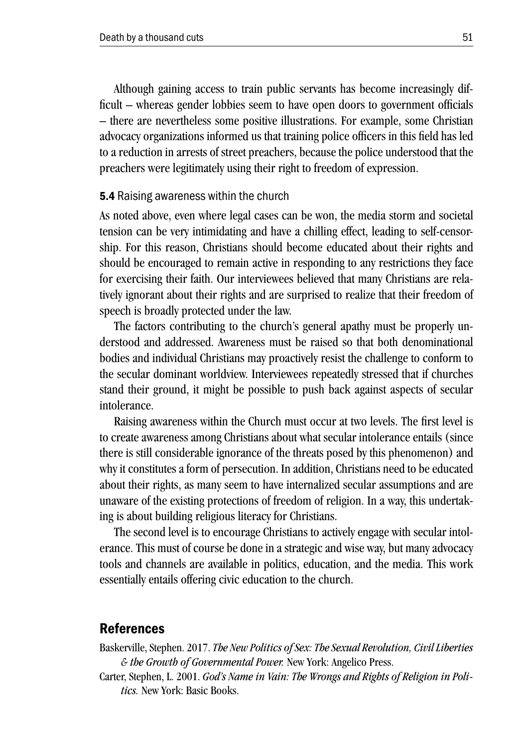Although gaining access to train public servants has become increasingly difficult – whereas gender lobbies seem to have open doors to government officials – there are nevertheless some positive illustrations. For example, some Christian advocacy organizations informed us that training police officers in this field has led to a reduction in arrests of street preachers, because the police understood that the preachers were legitimately using their right to freedom of expression.

#### 5.4 Raising awareness within the church

As noted above, even where legal cases can be won, the media storm and societal tension can be very intimidating and have a chilling effect, leading to self-censorship. For this reason, Christians should become educated about their rights and should be encouraged to remain active in responding to any restrictions they face for exercising their faith. Our interviewees believed that many Christians are relatively ignorant about their rights and are surprised to realize that their freedom of speech is broadly protected under the law.

The factors contributing to the church's general apathy must be properly understood and addressed. Awareness must be raised so that both denominational bodies and individual Christians may proactively resist the challenge to conform to the secular dominant worldview. Interviewees repeatedly stressed that if churches stand their ground, it might be possible to push back against aspects of secular intolerance.

Raising awareness within the Church must occur at two levels. The first level is to create awareness among Christians about what secular intolerance entails (since there is still considerable ignorance of the threats posed by this phenomenon) and why it constitutes a form of persecution. In addition, Christians need to be educated about their rights, as many seem to have internalized secular assumptions and are unaware of the existing protections of freedom of religion. In a way, this undertaking is about building religious literacy for Christians.

The second level is to encourage Christians to actively engage with secular intolerance. This must of course be done in a strategic and wise way, but many advocacy tools and channels are available in politics, education, and the media. This work essentially entails offering civic education to the church.

#### References

Baskerville, Stephen. 2017. *The New Politics of Sex: The Sexual Revolution, Civil Liberties & the Growth of Governmental Power.* New York: Angelico Press.

Carter, Stephen, L. 2001. *God's Name in Vain: The Wrongs and Rights of Religion in Politics.* New York: Basic Books.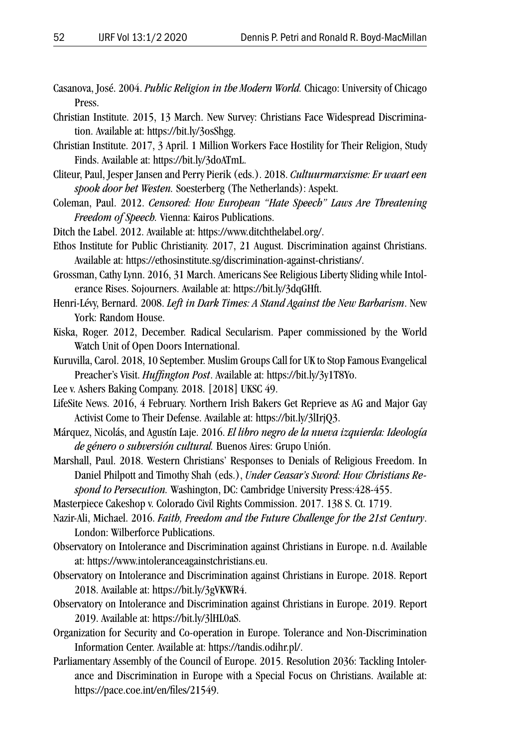- Casanova, José. 2004. *Public Religion in the Modern World.* Chicago: University of Chicago Press.
- Christian Institute. 2015, 13 March. New Survey: Christians Face Widespread Discrimination. Available at: https://bit.ly/3osShgg.
- Christian Institute. 2017, 3 April. 1 Million Workers Face Hostility for Their Religion, Study Finds. Available at: https://bit.ly/3doATmL.
- Cliteur, Paul, Jesper Jansen and Perry Pierik (eds.). 2018. *Cultuurmarxisme: Er waart een spook door het Westen.* Soesterberg (The Netherlands): Aspekt.
- Coleman, Paul. 2012. *Censored: How European "Hate Speech" Laws Are Threatening Freedom of Speech.* Vienna: Kairos Publications.
- Ditch the Label. 2012. Available at: https://www.ditchthelabel.org/.
- Ethos Institute for Public Christianity. 2017, 21 August. Discrimination against Christians. Available at: https://ethosinstitute.sg/discrimination-against-christians/.
- Grossman, Cathy Lynn. 2016, 31 March. Americans See Religious Liberty Sliding while Intolerance Rises. Sojourners. Available at: https://bit.ly/3dqGHft.
- Henri-Lévy, Bernard. 2008. *Left in Dark Times: A Stand Against the New Barbarism*. New York: Random House.
- Kiska, Roger. 2012, December. Radical Secularism. Paper commissioned by the World Watch Unit of Open Doors International.
- Kuruvilla, Carol. 2018, 10 September. Muslim Groups Call for UK to Stop Famous Evangelical Preacher's Visit. *Huffington Post*. Available at: https://bit.ly/3y1T8Yo.
- Lee v. Ashers Baking Company. 2018. [2018] UKSC 49.
- LifeSite News. 2016, 4 February. Northern Irish Bakers Get Reprieve as AG and Major Gay Activist Come to Their Defense. Available at: https://bit.ly/3lIrjQ3.
- Márquez, Nicolás, and Agustín Laje. 2016. *El libro negro de la nueva izquierda: Ideología de género o subversión cultural.* Buenos Aires: Grupo Unión.
- Marshall, Paul. 2018. Western Christians' Responses to Denials of Religious Freedom. In Daniel Philpott and Timothy Shah (eds.), *Under Ceasar's Sword: How Christians Respond to Persecution.* Washington, DC: Cambridge University Press:428-455.
- Masterpiece Cakeshop v. Colorado Civil Rights Commission. 2017. 138 S. Ct. 1719.
- Nazir-Ali, Michael. 2016. *Faith, Freedom and the Future Challenge for the 21st Century*. London: Wilberforce Publications.
- Observatory on Intolerance and Discrimination against Christians in Europe. n.d. Available at: https://www.intoleranceagainstchristians.eu.
- Observatory on Intolerance and Discrimination against Christians in Europe. 2018. Report 2018. Available at: https://bit.ly/3gVKWR4.
- Observatory on Intolerance and Discrimination against Christians in Europe. 2019. Report 2019. Available at: https://bit.ly/3lHL0aS.
- Organization for Security and Co-operation in Europe. Tolerance and Non-Discrimination Information Center. Available at: https://tandis.odihr.pl/.
- Parliamentary Assembly of the Council of Europe. 2015. Resolution 2036: Tackling Intolerance and Discrimination in Europe with a Special Focus on Christians. Available at: https://pace.coe.int/en/files/21549.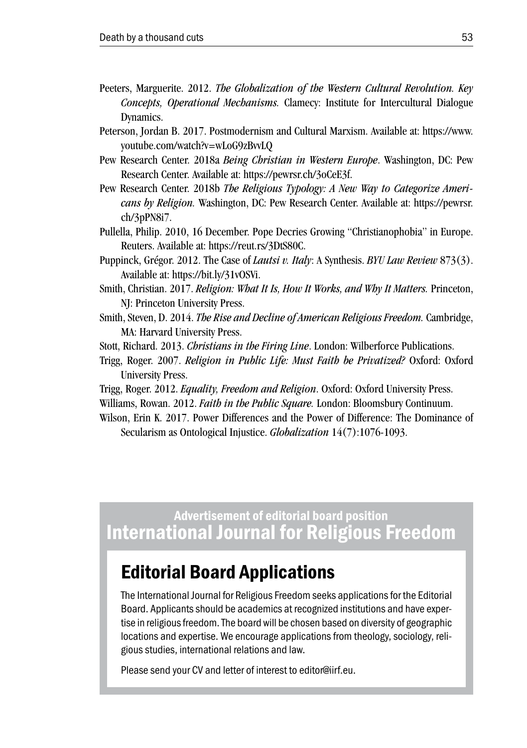- Peeters, Marguerite. 2012. *The Globalization of the Western Cultural Revolution. Key Concepts, Operational Mechanisms.* Clamecy: Institute for Intercultural Dialogue Dynamics.
- Peterson, Jordan B. 2017. Postmodernism and Cultural Marxism. Available at: https://www. youtube.com/watch?v=wLoG9zBvvLQ
- Pew Research Center. 2018a *Being Christian in Western Europe*. Washington, DC: Pew Research Center. Available at: https://pewrsr.ch/3oCeE3f.
- Pew Research Center. 2018b *The Religious Typology: A New Way to Categorize Americans by Religion.* Washington, DC: Pew Research Center. Available at: https://pewrsr. ch/3pPN8i7.
- Pullella, Philip. 2010, 16 December. Pope Decries Growing "Christianophobia" in Europe. Reuters. Available at: https://reut.rs/3DtS80C.
- Puppinck, Grégor. 2012. The Case of *Lautsi v. Italy*: A Synthesis. *BYU Law Review* 873(3). Available at: https://bit.ly/31vOSVi.
- Smith, Christian. 2017. *Religion: What It Is, How It Works, and Why It Matters.* Princeton, NJ: Princeton University Press.
- Smith, Steven, D. 2014. *The Rise and Decline of American Religious Freedom.* Cambridge, MA: Harvard University Press.
- Stott, Richard. 2013. *Christians in the Firing Line*. London: Wilberforce Publications.
- Trigg, Roger. 2007. *Religion in Public Life: Must Faith be Privatized?* Oxford: Oxford University Press.
- Trigg, Roger. 2012. *Equality, Freedom and Religion*. Oxford: Oxford University Press.
- Williams, Rowan. 2012. *Faith in the Public Square.* London: Bloomsbury Continuum.
- Wilson, Erin K. 2017. Power Differences and the Power of Difference: The Dominance of Secularism as Ontological Injustice. *Globalization* 14(7):1076-1093.

Advertisement of editorial board position International Journal for Religious Freedom

## Editorial Board Applications

The International Journal for Religious Freedom seeks applications for the Editorial Board. Applicants should be academics at recognized institutions and have expertise in religious freedom. The board will be chosen based on diversity of geographic locations and expertise. We encourage applications from theology, sociology, religious studies, international relations and law.

Please send your CV and letter of interest to editor@iirf.eu.